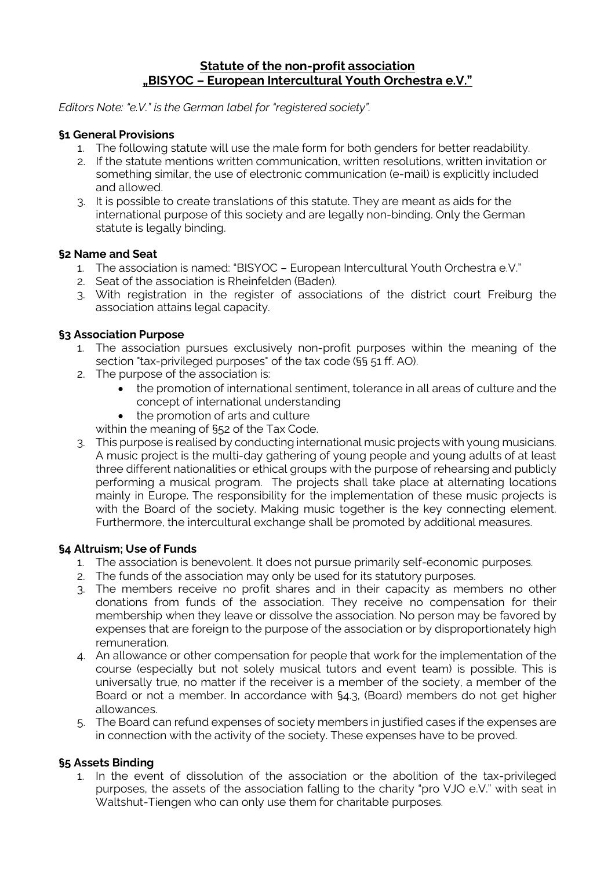# **Statute of the non-profit association "BISYOC – European Intercultural Youth Orchestra e.V."**

*Editors Note: "e.V." is the German label for "registered society".*

### **§1 General Provisions**

- 1. The following statute will use the male form for both genders for better readability.
- 2. If the statute mentions written communication, written resolutions, written invitation or something similar, the use of electronic communication (e-mail) is explicitly included and allowed.
- 3. It is possible to create translations of this statute. They are meant as aids for the international purpose of this society and are legally non-binding. Only the German statute is legally binding.

### **§2 Name and Seat**

- 1. The association is named: "BISYOC European Intercultural Youth Orchestra e.V."
- 2. Seat of the association is Rheinfelden (Baden).
- 3. With registration in the register of associations of the district court Freiburg the association attains legal capacity.

# **§3 Association Purpose**

- 1. The association pursues exclusively non-profit purposes within the meaning of the section "tax-privileged purposes" of the tax code (§§ 51 ff. AO).
- 2. The purpose of the association is:
	- the promotion of international sentiment, tolerance in all areas of culture and the concept of international understanding
	- the promotion of arts and culture

within the meaning of §52 of the Tax Code.

3. This purpose is realised by conducting international music projects with young musicians. A music project is the multi-day gathering of young people and young adults of at least three different nationalities or ethical groups with the purpose of rehearsing and publicly performing a musical program. The projects shall take place at alternating locations mainly in Europe. The responsibility for the implementation of these music projects is with the Board of the society. Making music together is the key connecting element. Furthermore, the intercultural exchange shall be promoted by additional measures.

### **§4 Altruism; Use of Funds**

- 1. The association is benevolent. It does not pursue primarily self-economic purposes.
- 2. The funds of the association may only be used for its statutory purposes.
- 3. The members receive no profit shares and in their capacity as members no other donations from funds of the association. They receive no compensation for their membership when they leave or dissolve the association. No person may be favored by expenses that are foreign to the purpose of the association or by disproportionately high remuneration.
- 4. An allowance or other compensation for people that work for the implementation of the course (especially but not solely musical tutors and event team) is possible. This is universally true, no matter if the receiver is a member of the society, a member of the Board or not a member. In accordance with §4.3, (Board) members do not get higher allowances.
- 5. The Board can refund expenses of society members in justified cases if the expenses are in connection with the activity of the society. These expenses have to be proved.

### **§5 Assets Binding**

1. In the event of dissolution of the association or the abolition of the tax-privileged purposes, the assets of the association falling to the charity "pro VJO e.V." with seat in Waltshut-Tiengen who can only use them for charitable purposes.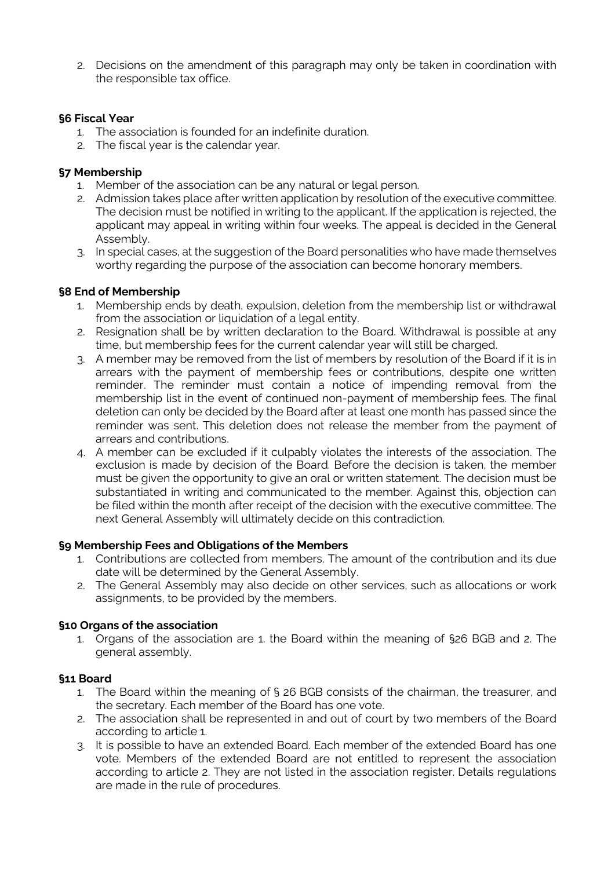2. Decisions on the amendment of this paragraph may only be taken in coordination with the responsible tax office.

### **§6 Fiscal Year**

- 1. The association is founded for an indefinite duration.
- 2. The fiscal year is the calendar year.

### **§7 Membership**

- 1. Member of the association can be any natural or legal person.
- 2. Admission takes place after written application by resolution of the executive committee. The decision must be notified in writing to the applicant. If the application is rejected, the applicant may appeal in writing within four weeks. The appeal is decided in the General Assembly.
- 3. In special cases, at the suggestion of the Board personalities who have made themselves worthy regarding the purpose of the association can become honorary members.

### **§8 End of Membership**

- 1. Membership ends by death, expulsion, deletion from the membership list or withdrawal from the association or liquidation of a legal entity.
- 2. Resignation shall be by written declaration to the Board. Withdrawal is possible at any time, but membership fees for the current calendar year will still be charged.
- 3. A member may be removed from the list of members by resolution of the Board if it is in arrears with the payment of membership fees or contributions, despite one written reminder. The reminder must contain a notice of impending removal from the membership list in the event of continued non-payment of membership fees. The final deletion can only be decided by the Board after at least one month has passed since the reminder was sent. This deletion does not release the member from the payment of arrears and contributions.
- 4. A member can be excluded if it culpably violates the interests of the association. The exclusion is made by decision of the Board. Before the decision is taken, the member must be given the opportunity to give an oral or written statement. The decision must be substantiated in writing and communicated to the member. Against this, objection can be filed within the month after receipt of the decision with the executive committee. The next General Assembly will ultimately decide on this contradiction.

# **§9 Membership Fees and Obligations of the Members**

- 1. Contributions are collected from members. The amount of the contribution and its due date will be determined by the General Assembly.
- 2. The General Assembly may also decide on other services, such as allocations or work assignments, to be provided by the members.

### **§10 Organs of the association**

1. Organs of the association are 1. the Board within the meaning of §26 BGB and 2. The general assembly.

### **§11 Board**

- 1. The Board within the meaning of § 26 BGB consists of the chairman, the treasurer, and the secretary. Each member of the Board has one vote.
- 2. The association shall be represented in and out of court by two members of the Board according to article 1.
- 3. It is possible to have an extended Board. Each member of the extended Board has one vote. Members of the extended Board are not entitled to represent the association according to article 2. They are not listed in the association register. Details regulations are made in the rule of procedures.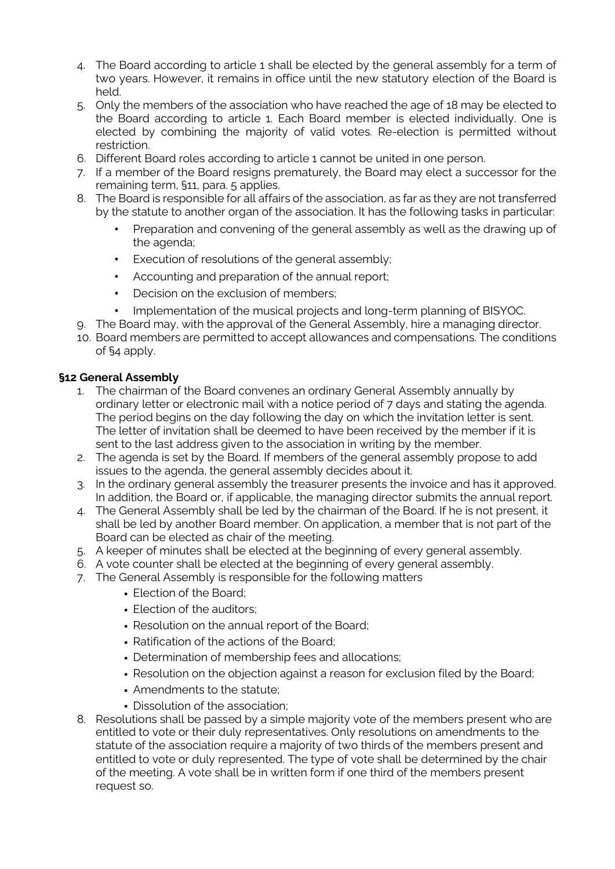- 4. The Board according to article 1 shall be elected by the general assembly for a term of two years. However, it remains in office until the new statutory election of the Board is held.
- 5. Only the members of the association who have reached the age of 18 may be elected to the Board according to article 1. Each Board member is elected individually. One is elected by combining the majority of valid votes. Re-election is permitted without restriction.
- 6. Different Board roles according to article 1 cannot be united in one person.
- 7. If a member of the Board resigns prematurely, the Board may elect a successor for the remaining term, §11, para. 5 applies.
- 8. The Board is responsible for all affairs of the association, as far as they are not transferred by the statute to another organ of the association. It has the following tasks in particular:
	- Preparation and convening of the general assembly as well as the drawing up of the agenda;
	- Execution of resolutions of the general assembly;
	- Accounting and preparation of the annual report;
	- Decision on the exclusion of members;
	- Implementation of the musical projects and long-term planning of BISYOC.
- 9. The Board may, with the approval of the General Assembly, hire a managing director.
- 10. Board members are permitted to accept allowances and compensations. The conditions of §4 apply.

### **§12 General Assembly**

- 1. The chairman of the Board convenes an ordinary General Assembly annually by ordinary letter or electronic mail with a notice period of 7 days and stating the agenda. The period begins on the day following the day on which the invitation letter is sent. The letter of invitation shall be deemed to have been received by the member if it is sent to the last address given to the association in writing by the member.
- 2. The agenda is set by the Board. If members of the general assembly propose to add issues to the agenda, the general assembly decides about it.
- 3. In the ordinary general assembly the treasurer presents the invoice and has it approved. In addition, the Board or, if applicable, the managing director submits the annual report.
- 4. The General Assembly shall be led by the chairman of the Board. If he is not present, it shall be led by another Board member. On application, a member that is not part of the Board can be elected as chair of the meeting.
- 5. A keeper of minutes shall be elected at the beginning of every general assembly.
- 6. A vote counter shall be elected at the beginning of every general assembly.
- 7. The General Assembly is responsible for the following matters
	- Election of the Board;
	- Election of the auditors:
	- Resolution on the annual report of the Board;
	- Ratification of the actions of the Board;
	- Determination of membership fees and allocations;
	- Resolution on the objection against a reason for exclusion filed by the Board;
	- Amendments to the statute;
	- Dissolution of the association;
- 8. Resolutions shall be passed by a simple majority vote of the members present who are entitled to vote or their duly representatives. Only resolutions on amendments to the statute of the association require a majority of two thirds of the members present and entitled to vote or duly represented. The type of vote shall be determined by the chair of the meeting. A vote shall be in written form if one third of the members present request so.